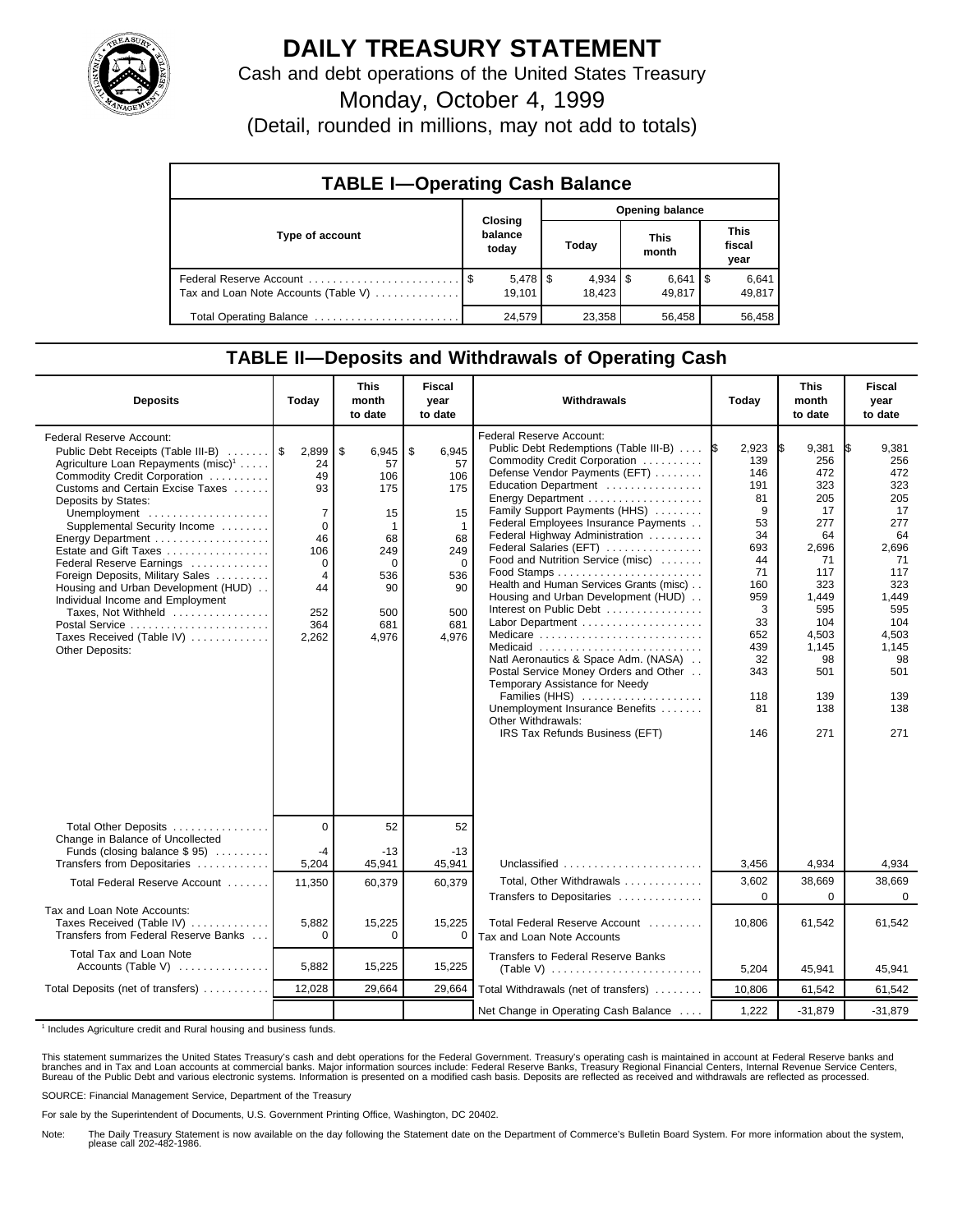

## **DAILY TREASURY STATEMENT**

Cash and debt operations of the United States Treasury

Monday, October 4, 1999

(Detail, rounded in millions, may not add to totals)

| <b>TABLE I-Operating Cash Balance</b> |  |                                 |                        |        |  |                      |  |                               |  |
|---------------------------------------|--|---------------------------------|------------------------|--------|--|----------------------|--|-------------------------------|--|
|                                       |  |                                 | <b>Opening balance</b> |        |  |                      |  |                               |  |
| Type of account                       |  | Closing<br>balance<br>today     |                        | Today  |  | <b>This</b><br>month |  | <b>This</b><br>fiscal<br>year |  |
| Tax and Loan Note Accounts (Table V)  |  | $5,478$ $\frac{1}{3}$<br>19.101 |                        | 18.423 |  | $6,641$ S<br>49.817  |  | 6,641<br>49,817               |  |
| Total Operating Balance               |  | 24.579                          |                        | 23.358 |  | 56.458               |  | 56.458                        |  |

## **TABLE II—Deposits and Withdrawals of Operating Cash**

| <b>Deposits</b>                                                                                                                                                                                                                                                                                                                                                                                                                                                                                                                                       | Today                                                                                                        | <b>This</b><br>month<br>to date                                                                                             | <b>Fiscal</b><br>year<br>to date                                                                               | Withdrawals                                                                                                                                                                                                                                                                                                                                                                                                                                                                                                                                                                                                                                                                                                                                        | Today                                                                                                                                        | <b>This</b><br>month<br>to date                                                                                                                              | <b>Fiscal</b><br>year<br>to date                                                                                                                                    |
|-------------------------------------------------------------------------------------------------------------------------------------------------------------------------------------------------------------------------------------------------------------------------------------------------------------------------------------------------------------------------------------------------------------------------------------------------------------------------------------------------------------------------------------------------------|--------------------------------------------------------------------------------------------------------------|-----------------------------------------------------------------------------------------------------------------------------|----------------------------------------------------------------------------------------------------------------|----------------------------------------------------------------------------------------------------------------------------------------------------------------------------------------------------------------------------------------------------------------------------------------------------------------------------------------------------------------------------------------------------------------------------------------------------------------------------------------------------------------------------------------------------------------------------------------------------------------------------------------------------------------------------------------------------------------------------------------------------|----------------------------------------------------------------------------------------------------------------------------------------------|--------------------------------------------------------------------------------------------------------------------------------------------------------------|---------------------------------------------------------------------------------------------------------------------------------------------------------------------|
| Federal Reserve Account:<br>Public Debt Receipts (Table III-B)<br>Agriculture Loan Repayments (misc) <sup>1</sup><br>Commodity Credit Corporation<br>Customs and Certain Excise Taxes<br>Deposits by States:<br>Unemployment<br>Supplemental Security Income<br>Energy Department<br>Estate and Gift Taxes<br>Federal Reserve Earnings<br>Foreign Deposits, Military Sales<br>Housing and Urban Development (HUD)<br>Individual Income and Employment<br>Taxes, Not Withheld<br>Postal Service<br>Taxes Received (Table IV)<br><b>Other Deposits:</b> | 2,899<br>24<br>49<br>93<br>7<br>$\mathbf 0$<br>46<br>106<br>0<br>$\overline{4}$<br>44<br>252<br>364<br>2,262 | $\mathbf{s}$<br>$6,945$   \$<br>57<br>106<br>175<br>15<br>$\mathbf 1$<br>68<br>249<br>0<br>536<br>90<br>500<br>681<br>4,976 | 6.945<br>57<br>106<br>175<br>15<br>$\mathbf 1$<br>68<br>249<br>$\mathbf 0$<br>536<br>90<br>500<br>681<br>4.976 | Federal Reserve Account:<br>Public Debt Redemptions (Table III-B)<br>Commodity Credit Corporation<br>Defense Vendor Payments (EFT)<br>Education Department<br>Energy Department<br>Family Support Payments (HHS)<br>Federal Employees Insurance Payments<br>Federal Highway Administration<br>Federal Salaries (EFT)<br>Food and Nutrition Service (misc)<br>Health and Human Services Grants (misc)<br>Housing and Urban Development (HUD)<br>Interest on Public Debt<br>Labor Department<br>Medicare<br>Medicaid<br>Natl Aeronautics & Space Adm. (NASA)<br>Postal Service Money Orders and Other<br>Temporary Assistance for Needy<br>Families (HHS)<br>Unemployment Insurance Benefits<br>Other Withdrawals:<br>IRS Tax Refunds Business (EFT) | 2,923<br>139<br>146<br>191<br>81<br>9<br>53<br>34<br>693<br>44<br>71<br>160<br>959<br>3<br>33<br>652<br>439<br>32<br>343<br>118<br>81<br>146 | 9,381<br>256<br>472<br>323<br>205<br>17<br>277<br>64<br>2,696<br>71<br>117<br>323<br>1,449<br>595<br>104<br>4,503<br>1,145<br>98<br>501<br>139<br>138<br>271 | 9,381<br>IS.<br>256<br>472<br>323<br>205<br>17<br>277<br>64<br>2,696<br>71<br>117<br>323<br>1,449<br>595<br>104<br>4,503<br>1,145<br>98<br>501<br>139<br>138<br>271 |
| Total Other Deposits<br>Change in Balance of Uncollected                                                                                                                                                                                                                                                                                                                                                                                                                                                                                              | $\overline{0}$                                                                                               | 52                                                                                                                          | 52                                                                                                             |                                                                                                                                                                                                                                                                                                                                                                                                                                                                                                                                                                                                                                                                                                                                                    |                                                                                                                                              |                                                                                                                                                              |                                                                                                                                                                     |
| Funds (closing balance $$ 95$ )<br>Transfers from Depositaries                                                                                                                                                                                                                                                                                                                                                                                                                                                                                        | $-4$<br>5,204                                                                                                | $-13$<br>45,941                                                                                                             | $-13$<br>45,941                                                                                                | Unclassified                                                                                                                                                                                                                                                                                                                                                                                                                                                                                                                                                                                                                                                                                                                                       | 3,456                                                                                                                                        | 4,934                                                                                                                                                        | 4,934                                                                                                                                                               |
| Total Federal Reserve Account                                                                                                                                                                                                                                                                                                                                                                                                                                                                                                                         | 11,350                                                                                                       | 60,379                                                                                                                      | 60,379                                                                                                         | Total, Other Withdrawals                                                                                                                                                                                                                                                                                                                                                                                                                                                                                                                                                                                                                                                                                                                           | 3,602                                                                                                                                        | 38,669                                                                                                                                                       | 38.669                                                                                                                                                              |
| Tax and Loan Note Accounts:<br>Taxes Received (Table IV)<br>Transfers from Federal Reserve Banks                                                                                                                                                                                                                                                                                                                                                                                                                                                      | 5,882<br>$\Omega$                                                                                            | 15,225<br>0                                                                                                                 | 15,225<br>0                                                                                                    | Transfers to Depositaries<br>Total Federal Reserve Account<br>Tax and Loan Note Accounts                                                                                                                                                                                                                                                                                                                                                                                                                                                                                                                                                                                                                                                           | $\Omega$<br>10.806                                                                                                                           | $\Omega$<br>61,542                                                                                                                                           | $\Omega$<br>61,542                                                                                                                                                  |
| Total Tax and Loan Note<br>Accounts (Table V) $\ldots$                                                                                                                                                                                                                                                                                                                                                                                                                                                                                                | 5,882                                                                                                        | 15,225                                                                                                                      | 15,225                                                                                                         | <b>Transfers to Federal Reserve Banks</b>                                                                                                                                                                                                                                                                                                                                                                                                                                                                                                                                                                                                                                                                                                          | 5,204                                                                                                                                        | 45,941                                                                                                                                                       | 45,941                                                                                                                                                              |
| Total Deposits (net of transfers)                                                                                                                                                                                                                                                                                                                                                                                                                                                                                                                     | 12,028                                                                                                       | 29,664                                                                                                                      | 29,664                                                                                                         | Total Withdrawals (net of transfers)                                                                                                                                                                                                                                                                                                                                                                                                                                                                                                                                                                                                                                                                                                               | 10,806                                                                                                                                       | 61,542                                                                                                                                                       | 61,542                                                                                                                                                              |
|                                                                                                                                                                                                                                                                                                                                                                                                                                                                                                                                                       |                                                                                                              |                                                                                                                             |                                                                                                                | Net Change in Operating Cash Balance                                                                                                                                                                                                                                                                                                                                                                                                                                                                                                                                                                                                                                                                                                               | 1,222                                                                                                                                        | $-31,879$                                                                                                                                                    | $-31.879$                                                                                                                                                           |

<sup>1</sup> Includes Agriculture credit and Rural housing and business funds.

This statement summarizes the United States Treasury's cash and debt operations for the Federal Government. Treasury's operating cash is maintained in account at Federal Reserve banks and<br>branches and in Tax and Loan accou

SOURCE: Financial Management Service, Department of the Treasury

For sale by the Superintendent of Documents, U.S. Government Printing Office, Washington, DC 20402.

Note: The Daily Treasury Statement is now available on the day following the Statement date on the Department of Commerce's Bulletin Board System. For more information about the system, please call 202-482-1986.